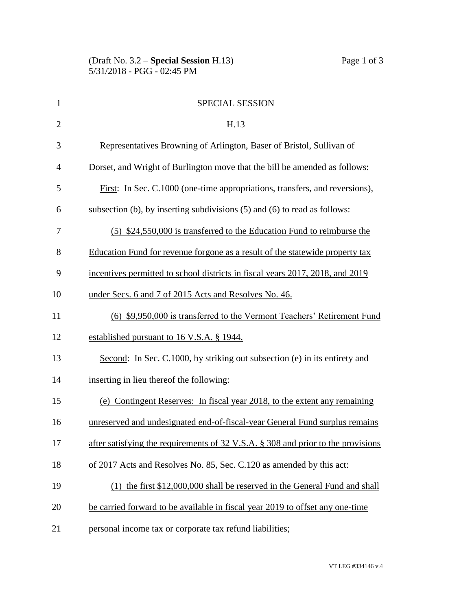| $\mathbf{1}$   | <b>SPECIAL SESSION</b>                                                           |
|----------------|----------------------------------------------------------------------------------|
| $\overline{2}$ | H.13                                                                             |
| 3              | Representatives Browning of Arlington, Baser of Bristol, Sullivan of             |
| $\overline{4}$ | Dorset, and Wright of Burlington move that the bill be amended as follows:       |
| 5              | First: In Sec. C.1000 (one-time appropriations, transfers, and reversions),      |
| 6              | subsection (b), by inserting subdivisions (5) and (6) to read as follows:        |
| 7              | (5) \$24,550,000 is transferred to the Education Fund to reimburse the           |
| 8              | Education Fund for revenue forgone as a result of the statewide property tax     |
| 9              | incentives permitted to school districts in fiscal years 2017, 2018, and 2019    |
| 10             | under Secs. 6 and 7 of 2015 Acts and Resolves No. 46.                            |
| 11             | (6) \$9,950,000 is transferred to the Vermont Teachers' Retirement Fund          |
| 12             | established pursuant to 16 V.S.A. § 1944.                                        |
| 13             | Second: In Sec. C.1000, by striking out subsection (e) in its entirety and       |
| 14             | inserting in lieu thereof the following:                                         |
| 15             | (e) Contingent Reserves: In fiscal year 2018, to the extent any remaining        |
| 16             | unreserved and undesignated end-of-fiscal-year General Fund surplus remains      |
| 17             | after satisfying the requirements of 32 V.S.A. § 308 and prior to the provisions |
| 18             | of 2017 Acts and Resolves No. 85, Sec. C.120 as amended by this act:             |
| 19             | (1) the first \$12,000,000 shall be reserved in the General Fund and shall       |
| 20             | be carried forward to be available in fiscal year 2019 to offset any one-time    |
| 21             | personal income tax or corporate tax refund liabilities;                         |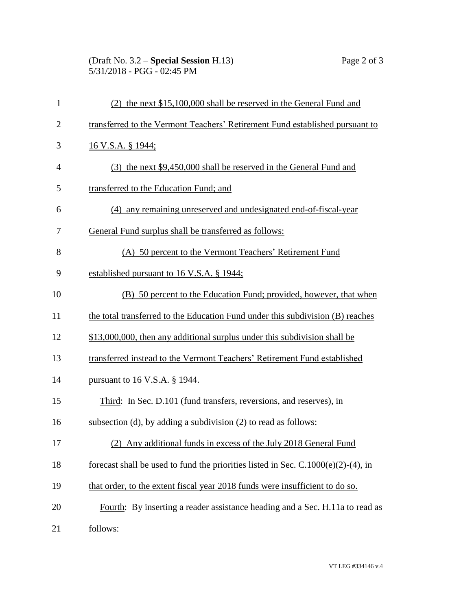(Draft No. 3.2 – **Special Session** H.13) Page 2 of 3 5/31/2018 - PGG - 02:45 PM

| $\mathbf{1}$   | (2) the next \$15,100,000 shall be reserved in the General Fund and                  |  |  |
|----------------|--------------------------------------------------------------------------------------|--|--|
| $\overline{2}$ | transferred to the Vermont Teachers' Retirement Fund established pursuant to         |  |  |
| 3              | 16 V.S.A. § 1944;                                                                    |  |  |
| $\overline{4}$ | (3) the next \$9,450,000 shall be reserved in the General Fund and                   |  |  |
| 5              | transferred to the Education Fund; and                                               |  |  |
| 6              | (4) any remaining unreserved and undesignated end-of-fiscal-year                     |  |  |
| 7              | General Fund surplus shall be transferred as follows:                                |  |  |
| 8              | (A) 50 percent to the Vermont Teachers' Retirement Fund                              |  |  |
| 9              | established pursuant to 16 V.S.A. § 1944;                                            |  |  |
| 10             | (B) 50 percent to the Education Fund; provided, however, that when                   |  |  |
| 11             | the total transferred to the Education Fund under this subdivision (B) reaches       |  |  |
| 12             | \$13,000,000, then any additional surplus under this subdivision shall be            |  |  |
| 13             | transferred instead to the Vermont Teachers' Retirement Fund established             |  |  |
| 14             | pursuant to 16 V.S.A. § 1944.                                                        |  |  |
| 15             | Third: In Sec. D.101 (fund transfers, reversions, and reserves), in                  |  |  |
| 16             | subsection (d), by adding a subdivision (2) to read as follows:                      |  |  |
| 17             | (2) Any additional funds in excess of the July 2018 General Fund                     |  |  |
| 18             | forecast shall be used to fund the priorities listed in Sec. $C.1000(e)(2)-(4)$ , in |  |  |
| 19             | that order, to the extent fiscal year 2018 funds were insufficient to do so.         |  |  |
| 20             | Fourth: By inserting a reader assistance heading and a Sec. H.11a to read as         |  |  |
| 21             | follows:                                                                             |  |  |